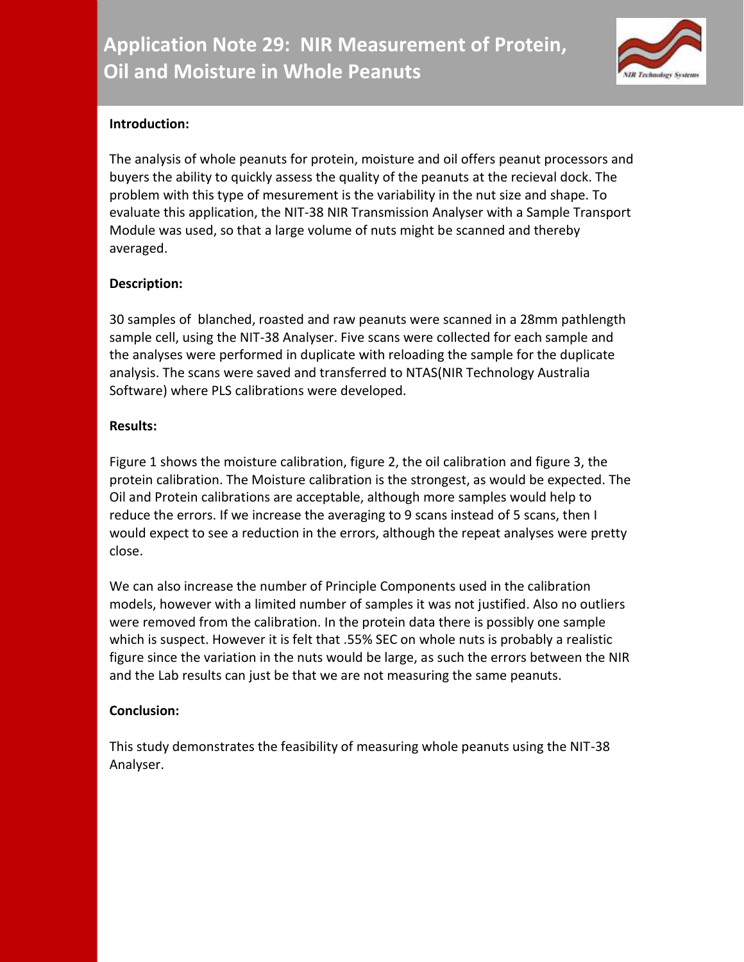

# **Introduction:**

The analysis of whole peanuts for protein, moisture and oil offers peanut processors and buyers the ability to quickly assess the quality of the peanuts at the recieval dock. The problem with this type of mesurement is the variability in the nut size and shape. To evaluate this application, the NIT-38 NIR Transmission Analyser with a Sample Transport Module was used, so that a large volume of nuts might be scanned and thereby averaged.

# **Description:**

30 samples of blanched, roasted and raw peanuts were scanned in a 28mm pathlength sample cell, using the NIT-38 Analyser. Five scans were collected for each sample and the analyses were performed in duplicate with reloading the sample for the duplicate analysis. The scans were saved and transferred to NTAS(NIR Technology Australia Software) where PLS calibrations were developed.

## **Results:**

Figure 1 shows the moisture calibration, figure 2, the oil calibration and figure 3, the protein calibration. The Moisture calibration is the strongest, as would be expected. The Oil and Protein calibrations are acceptable, although more samples would help to reduce the errors. If we increase the averaging to 9 scans instead of 5 scans, then I would expect to see a reduction in the errors, although the repeat analyses were pretty close.

We can also increase the number of Principle Components used in the calibration models, however with a limited number of samples it was not justified. Also no outliers were removed from the calibration. In the protein data there is possibly one sample which is suspect. However it is felt that .55% SEC on whole nuts is probably a realistic figure since the variation in the nuts would be large, as such the errors between the NIR and the Lab results can just be that we are not measuring the same peanuts.

## **Conclusion:**

This study demonstrates the feasibility of measuring whole peanuts using the NIT-38 Analyser.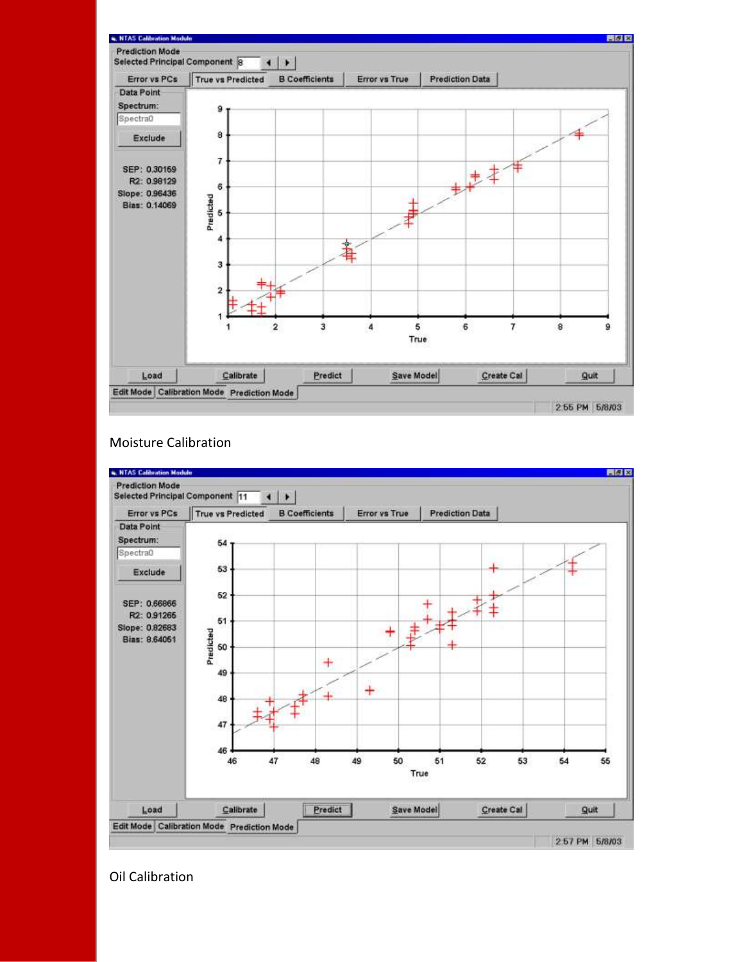

### Moisture Calibration



Oil Calibration